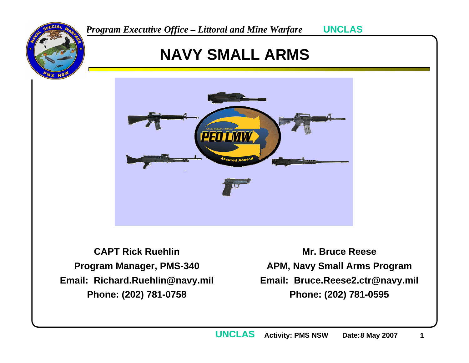

### **NAVY SMALL ARMS**



**CAPT Rick RuehlinProgram Manager, PMS-340 Email: Richard.Ruehlin@navy.mil Phone: (202) 781-0758**

**Mr. Bruce ReeseAPM, Navy Small Arms Program Email: Bruce.Reese2.ctr@navy.mil Phone: (202) 781-0595**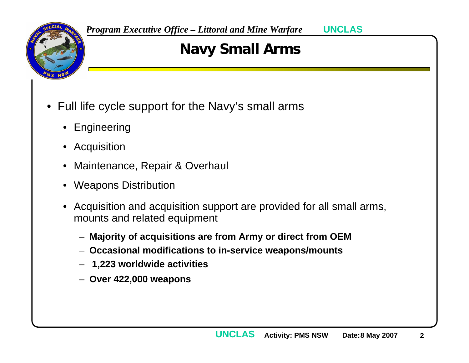

## **Navy Small Arms**

- Full life cycle support for the Navy's small arms
	- Engineering
	- Acquisition
	- •Maintenance, Repair & Overhaul
	- •Weapons Distribution
	- • Acquisition and acquisition support are provided for all small arms, mounts and related equipment
		- **Majority of acquisitions are from Army or direct from OEM**
		- **Occasional modifications to in-service weapons/mounts**
		- **1,223 worldwide activities**
		- **Over 422,000 weapons**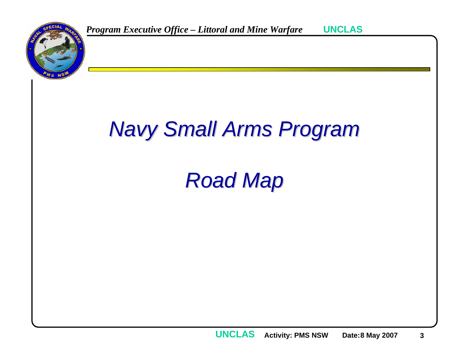# *Navy Small Arms Program Navy Small Arms Program*

# *Road Map Road Map*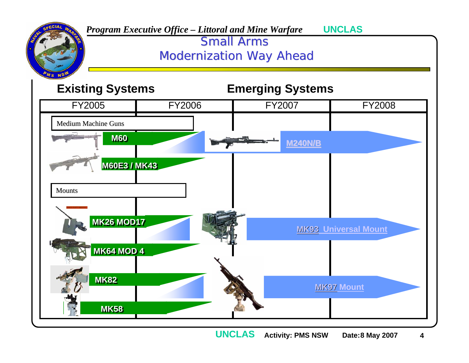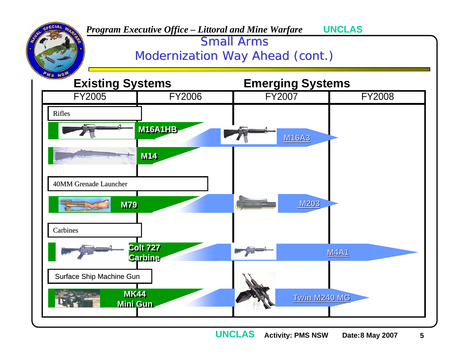

**Activity: PMS NSW Date:8 May 2007 5 UNCLAS**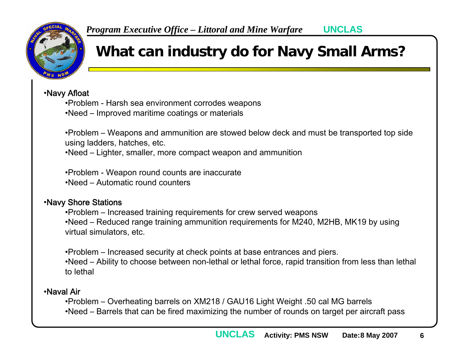

### **What can industry do for Navy Small Arms?**

•Navy Afloat

- •Problem Harsh sea environment corrodes weapons
- •Need Improved maritime coatings or materials

•Problem – Weapons and ammunition are stowed below deck and must be transported top side using ladders, hatches, etc.

•Need – Lighter, smaller, more compact weapon and ammunition

•Problem - Weapon round counts are inaccurate •Need – Automatic round counters

#### •Navy Shore Stations

•Problem – Increased training requirements for crew served weapons •Need – Reduced range training ammunition requirements for M240, M2HB, MK19 by using virtual simulators, etc.

•Problem – Increased security at check points at base entrances and piers.

•Need – Ability to choose between non-lethal or lethal force, rapid transition from less than lethal to lethal

#### •Naval Air

•Problem – Overheating barrels on XM218 / GAU16 Light Weight .50 cal MG barrels •Need – Barrels that can be fired maximizing the number of rounds on target per aircraft pass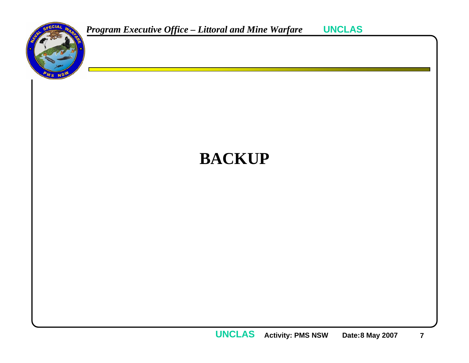



**Activity: PMS NSW Date:8 May 2007 7 UNCLAS**

**UNCLAS**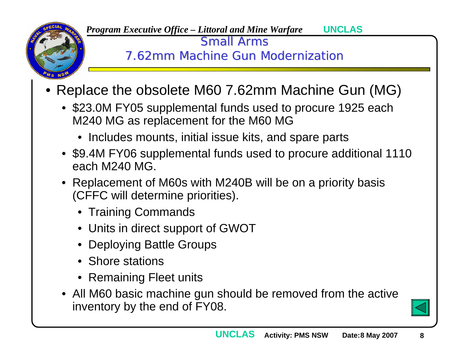

Small Arms

7.62mm Machine Gun Modernization

- Replace the obsolete M60 7.62mm Machine Gun (MG)
	- \$23.0M FY05 supplemental funds used to procure 1925 each M240 MG as replacement for the M60 MG
		- Includes mounts, initial issue kits, and spare parts
	- \$9.4M FY06 supplemental funds used to procure additional 1110 each M240 MG.
	- Replacement of M60s with M240B will be on a priority basis (CFFC will determine priorities).
		- Training Commands
		- Units in direct support of GWOT
		- Deploying Battle Groups
		- Shore stations
		- Remaining Fleet units
	- All M60 basic machine gun should be removed from the active inventory by the end of FY08.

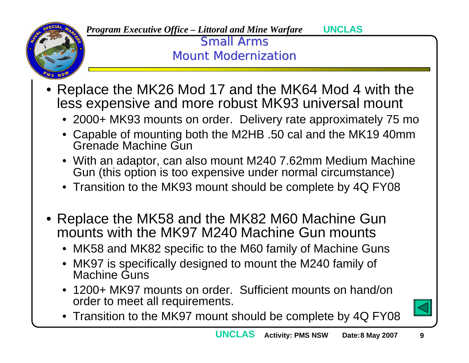

**UNCLAS**

**Small Arms Mount Modernization** 

- • Replace the MK26 Mod 17 and the MK64 Mod 4 with the less expensive and more robust MK93 universal mount
	- 2000+ MK93 mounts on order. Delivery rate approximately 75 mo
	- Capable of mounting both the M2HB .50 cal and the MK19 40mm Grenade Machine Gun
	- With an adaptor, can also mount M240 7.62mm Medium Machine Gun (this option is too expensive under normal circumstance)
	- Transition to the MK93 mount should be complete by 4Q FY08
- Replace the MK58 and the MK82 M60 Machine Gun mounts with the MK97 M240 Machine Gun mounts
	- MK58 and MK82 specific to the M60 family of Machine Guns
	- MK97 is specifically designed to mount the M240 family of Machine Guns
	- 1200+ MK97 mounts on order. Sufficient mounts on hand/on order to meet all requirements.
	- Transition to the MK97 mount should be complete by 4Q FY08

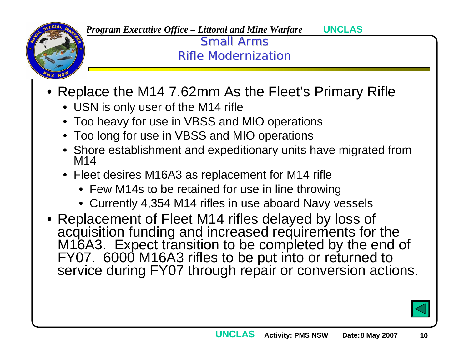

**UNCLAS**

**Small Arms** Rifle Modernization

- Replace the M14 7.62mm As the Fleet's Primary Rifle
	- USN is only user of the M14 rifle
	- Too heavy for use in VBSS and MIO operations
	- Too long for use in VBSS and MIO operations
	- Shore establishment and expeditionary units have migrated from M14
	- Fleet desires M16A3 as replacement for M14 rifle
		- Few M14s to be retained for use in line throwing
		- Currently 4,354 M14 rifles in use aboard Navy vessels
- Replacement of Fleet M14 rifles delayed by loss of acquisition funding and increased requirements for the<br>M16A3. Expect transition to be completed by the end of<br>FY07. 6000 M16A3 rifles to be put into or returned to<br>service during FY07 through repair or conversion actions.

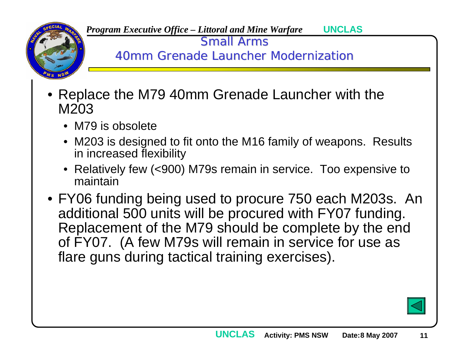

Small Arms

40mm Grenade Launcher Modernization

- Replace the M79 40mm Grenade Launcher with the M203
	- M79 is obsolete
	- M203 is designed to fit onto the M16 family of weapons. Results in increased flexibility
	- Relatively few (<900) M79s remain in service. Too expensive to maintain
- FY06 funding being used to procure 750 each M203s. An additional 500 units will be procured with FY07 funding. Replacement of the M79 should be complete by the end of FY07. (A few M79s will remain in service for use as flare guns during tactical training exercises).

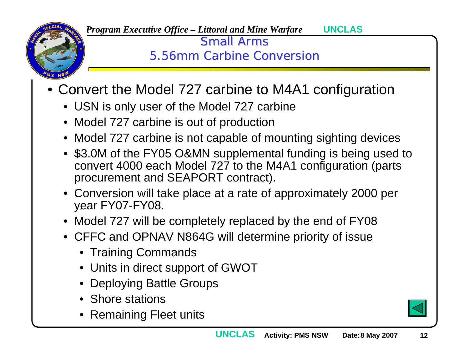

> **Small Arms** 5.56mm Carbine Conversion

- • Convert the Model 727 carbine to M4A1 configuration
	- USN is only user of the Model 727 carbine
	- Model 727 carbine is out of production
	- Model 727 carbine is not capable of mounting sighting devices
	- \$3.0M of the FY05 O&MN supplemental funding is being used to convert 4000 each Model 727 to the M4A1 configuration (parts procurement and SEAPORT contract).
	- Conversion will take place at a rate of approximately 2000 per year FY07-FY08.
	- Model 727 will be completely replaced by the end of FY08
	- CFFC and OPNAV N864G will determine priority of issue
		- Training Commands
		- Units in direct support of GWOT
		- Deploying Battle Groups
		- Shore stations
		- Remaining Fleet units